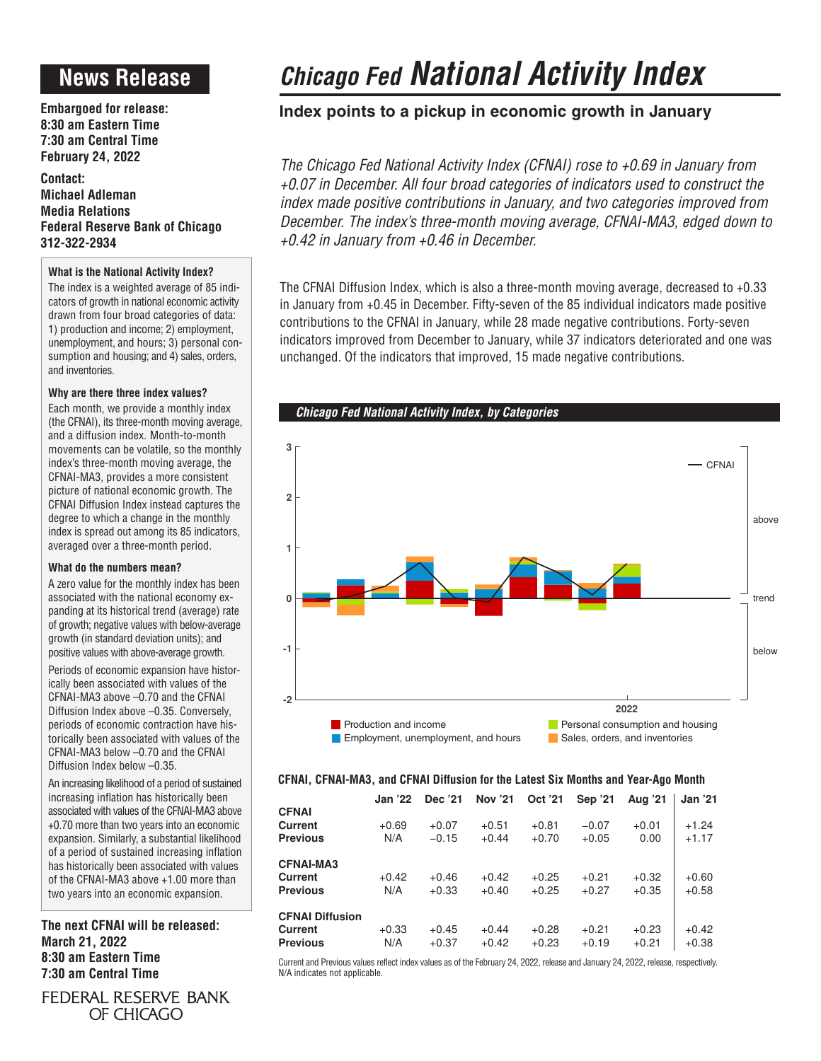# **News Release**

**Embargoed for release: 8:30 am Eastern Time 7:30 am Central Time February 24, 2022**

**Contact: Michael Adleman Media Relations Federal Reserve Bank of Chicago 312-322-2934**

## **What is the National Activity Index?**

The index is a weighted average of 85 indicators of growth in national economic activity drawn from four broad categories of data: 1) production and income; 2) employment, unemployment, and hours; 3) personal consumption and housing; and 4) sales, orders, and inventories.

## **Why are there three index values?**

Each month, we provide a monthly index (the CFNAI), its three-month moving average, and a diffusion index. Month-to-month movements can be volatile, so the monthly index's three-month moving average, the CFNAI-MA3, provides a more consistent picture of national economic growth. The CFNAI Diffusion Index instead captures the degree to which a change in the monthly index is spread out among its 85 indicators, averaged over a three-month period.

## **What do the numbers mean?**

A zero value for the monthly index has been associated with the national economy expanding at its historical trend (average) rate of growth; negative values with below-average growth (in standard deviation units); and positive values with above-average growth.

Periods of economic expansion have historically been associated with values of the CFNAI-MA3 above –0.70 and the CFNAI Diffusion Index above –0.35. Conversely, periods of economic contraction have historically been associated with values of the CFNAI-MA3 below –0.70 and the CFNAI Diffusion Index below –0.35.

An increasing likelihood of a period of sustained increasing inflation has historically been associated with values of the CFNAI-MA3 above +0.70 more than two years into an economic expansion. Similarly, a substantial likelihood of a period of sustained increasing inflation has historically been associated with values of the CFNAI-MA3 above +1.00 more than two years into an economic expansion.

**The next CFNAI will be released: March 21, 2022 8:30 am Eastern Time 7:30 am Central Time**

*Chicago Fed National Activity Index*

## **Index points to a pickup in economic growth in January**

*The Chicago Fed National Activity Index (CFNAI) rose to +0.69 in January from +0.07 in December. All four broad categories of indicators used to construct the index made positive contributions in January, and two categories improved from December. The index's three-month moving average, CFNAI-MA3, edged down to +0.42 in January from +0.46 in December.*

The CFNAI Diffusion Index, which is also a three-month moving average, decreased to +0.33 in January from +0.45 in December. Fifty-seven of the 85 individual indicators made positive contributions to the CFNAI in January, while 28 made negative contributions. Forty-seven indicators improved from December to January, while 37 indicators deteriorated and one was unchanged. Of the indicators that improved, 15 made negative contributions.





## **CFNAI, CFNAI-MA3, and CFNAI Diffusion for the Latest Six Months and Year-Ago Month**

|                            | Jan '22        | Dec '21            | Nov '21            | Oct '21            | Sep '21            | Aug '21            | <b>Jan '21</b>     |
|----------------------------|----------------|--------------------|--------------------|--------------------|--------------------|--------------------|--------------------|
| <b>CFNAI</b>               |                |                    |                    |                    |                    |                    |                    |
| Current                    | $+0.69$        | $+0.07$            | $+0.51$            | $+0.81$            | $-0.07$            | $+0.01$            | $+1.24$            |
| <b>Previous</b>            | N/A            | $-0.15$            | $+0.44$            | $+0.70$            | $+0.05$            | 0.00               | $+1.17$            |
| <b>CFNAI-MA3</b>           |                |                    |                    |                    |                    |                    |                    |
| Current                    | $+0.42$        | $+0.46$            | $+0.42$            | $+0.25$            | $+0.21$            | $+0.32$            | $+0.60$            |
| <b>Previous</b>            | N/A            | $+0.33$            | $+0.40$            | $+0.25$            | $+0.27$            | $+0.35$            | $+0.58$            |
| <b>CFNAI Diffusion</b>     |                |                    |                    |                    |                    |                    |                    |
| Current<br><b>Previous</b> | $+0.33$<br>N/A | $+0.45$<br>$+0.37$ | $+0.44$<br>$+0.42$ | $+0.28$<br>$+0.23$ | $+0.21$<br>$+0.19$ | $+0.23$<br>$+0.21$ | $+0.42$<br>$+0.38$ |

Current and Previous values reflect index values as of the February 24, 2022, release and January 24, 2022, release, respectively. N/A indicates not applicable.

FEDERAL RESERVE BANK OF CHICAGO